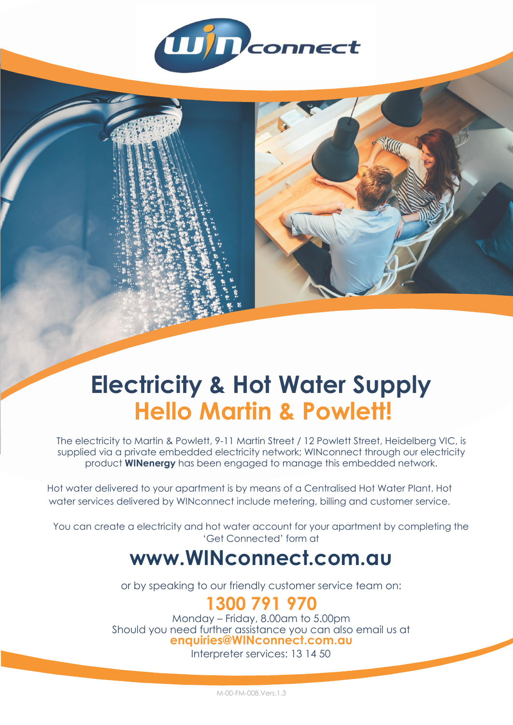

# **Electricity & Hot Water Supply Hello Martin & Powlett!**

The electricity to Martin & Powlett, 9-11 Martin Street / 12 Powlett Street, Heidelberg VIC, is supplied via a private embedded electricity network; WINconnect through our electricity product **WINenergy** has been engaged to manage this embedded network.

Hot water delivered to your apartment is by means of a Centralised Hot Water Plant. Hot water services delivered by WINconnect include metering, billing and customer service.

You can create a electricity and hot water account for your apartment by completing the 'Get Connected' form at

## **www.WINconnect.com.au**

or by speaking to our friendly customer service team on:

### **1300 791 970**

Monday – Friday, 8.00am to 5.00pm Should you need further assistance you can also email us at **enquiries@WINconnect.com.au**

Interpreter services: 13 14 50

M-00-FM-008.Vers.1.3